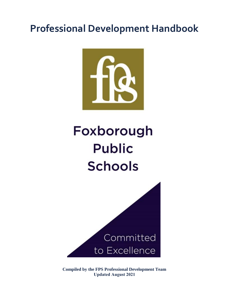## **Professional Development Handbook**



# Foxborough **Public Schools**



**Compiled by the FPS Professional Development Team Updated August 2021**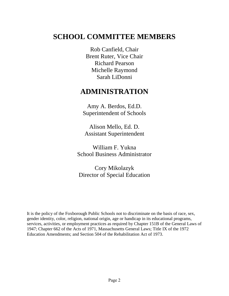### **SCHOOL COMMITTEE MEMBERS**

Rob Canfield, Chair Brent Ruter, Vice Chair Richard Pearson Michelle Raymond Sarah LiDonni

### **ADMINISTRATION**

Amy A. Berdos, Ed.D. Superintendent of Schools

Alison Mello, Ed. D. Assistant Superintendent

William F. Yukna School Business Administrator

Cory Mikolazyk Director of Special Education

It is the policy of the Foxborough Public Schools not to discriminate on the basis of race, sex, gender identity, color, religion, national origin, age or handicap in its educational programs, services, activities, or employment practices as required by Chapter 151B of the General Laws of 1947; Chapter 662 of the Acts of 1971, Massachusetts General Laws; Title IX of the 1972 Education Amendments; and Section 504 of the Rehabilitation Act of 1973.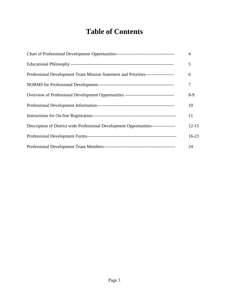### **Table of Contents**

|                                                                                       | $\overline{4}$ |
|---------------------------------------------------------------------------------------|----------------|
|                                                                                       | 5              |
| Professional Development Team Mission Statement and Priorities-------------------     | 6              |
|                                                                                       | 7              |
| Overview of Professional Development Opportunities ---------------------------------- | $8-9$          |
|                                                                                       | 10             |
|                                                                                       | 11             |
| Description of District wide Professional Development Opportunities----------------   | $12 - 15$      |
|                                                                                       | $16 - 23$      |
|                                                                                       | 24             |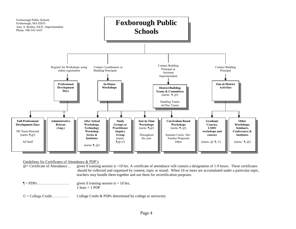

#### Guidelines for Certificates of Attendance & PDP's

@= Certificate of Attendance… given if training session is <10 hrs. A certificate of attendance will contain a designation of 1-9 hours. These certificates should be collected and organized by content, topic or strand. When 10 or more are accumulated under a particular topic, teachers may bundle them together and use them for recertification purposes.

- ¶ = PDPs…………………….. given if training session is > 10 hrs, 1 hour  $= 1$  PDP
- © = College Credit………….. College Credit & PDPs determined by college or university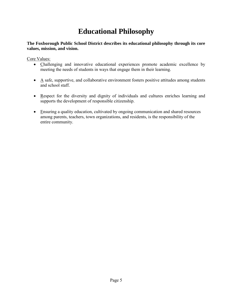### **Educational Philosophy**

#### **The Foxborough Public School District describes its educational philosophy through its core values, mission, and vision.**

Core Values:

- Challenging and innovative educational experiences promote academic excellence by meeting the needs of students in ways that engage them in their learning.
- $\bullet$  A safe, supportive, and collaborative environment fosters positive attitudes among students and school staff.
- Respect for the diversity and dignity of individuals and cultures enriches learning and supports the development of responsible citizenship.
- Ensuring a quality education, cultivated by ongoing communication and shared resources among parents, teachers, town organizations, and residents, is the responsibility of the entire community.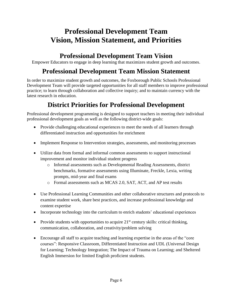### **Professional Development Team Vision, Mission Statement, and Priorities**

### **Professional Development Team Vision**

Empower Educators to engage in deep learning that maximizes student growth and outcomes.

### **Professional Development Team Mission Statement**

In order to maximize student growth and outcomes, the Foxborough Public Schools Professional Development Team will provide targeted opportunities for all staff members to improve professional practice; to learn through collaboration and collective inquiry; and to maintain currency with the latest research in education.

### **District Priorities for Professional Development**

Professional development programming is designed to support teachers in meeting their individual professional development goals as well as the following district-wide goals:

- Provide challenging educational experiences to meet the needs of all learners through differentiated instruction and opportunities for enrichment
- Implement Response to Intervention strategies, assessments, and monitoring processes
- Utilize data from formal and informal common assessments to support instructional improvement and monitor individual student progress
	- o Informal assessments such as Developmental Reading Assessments, district benchmarks, formative assessments using Illuminate, Freckle, Lexia, writing prompts, mid-year and final exams
	- o Formal assessments such as MCAS 2.0, SAT, ACT, and AP test results
- Use Professional Learning Communities and other collaborative structures and protocols to examine student work, share best practices, and increase professional knowledge and content expertise
- Incorporate technology into the curriculum to enrich students' educational experiences
- Provide students with opportunities to acquire  $21<sup>st</sup>$  century skills: critical thinking, communication, collaboration, and creativity/problem solving
- Encourage all staff to acquire teaching and learning expertise in the areas of the "core" courses": Responsive Classroom, Differentiated Instruction and UDL (Universal Design for Learning; Technology Integration; The Impact of Trauma on Learning; and Sheltered English Immersion for limited English proficient students.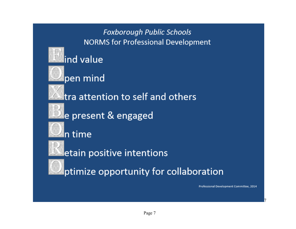

7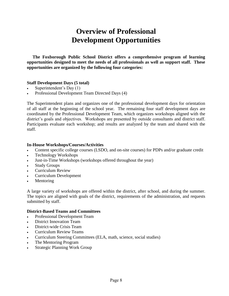### **Overview of Professional Development Opportunities**

 **The Foxborough Public School District offers a comprehensive program of learning opportunities designed to meet the needs of all professionals as well as support staff. These opportunities are organized by the following four categories:** 

#### **Staff Development Days (5 total)**

- Superintendent's Day (1)
- Professional Development Team Directed Days (4)

The Superintendent plans and organizes one of the professional development days for orientation of all staff at the beginning of the school year. The remaining four staff development days are coordinated by the Professional Development Team, which organizes workshops aligned with the district's goals and objectives. Workshops are presented by outside consultants and district staff. Participants evaluate each workshop; and results are analyzed by the team and shared with the staff.

#### **In-House Workshops/Courses/Activities**

- Content specific college courses (LSDO, and on-site courses) for PDPs and/or graduate credit
- Technology Workshops
- Just-in-Time Workshops (workshops offered throughout the year)
- **Study Groups**
- Curriculum Review
- Curriculum Development
- **Mentoring**

A large variety of workshops are offered within the district, after school, and during the summer. The topics are aligned with goals of the district, requirements of the administration, and requests submitted by staff.

#### **District-Based Teams and Committees**

- Professional Development Team
- District Innovation Team
- District-wide Crisis Team
- Curriculum Review Teams
- Curriculum Steering Committees (ELA, math, science, social studies)
- The Mentoring Program
- Strategic Planning Work Group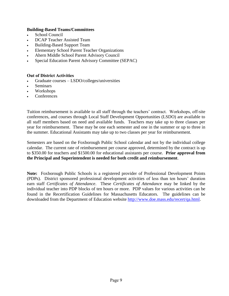#### **Building-Based Teams/Committees**

- School Council
- DCAP Teacher Assisted Team
- Building-Based Support Team
- Elementary School Parent Teacher Organizations
- Ahern Middle School Parent Advisory Council
- Special Education Parent Advisory Committee (SEPAC)

#### **Out of District Activities**

- Graduate courses LSDO/colleges/universities
- **Seminars**
- Workshops
- Conferences

Tuition reimbursement is available to all staff through the teachers' contract. Workshops, off-site conferences, and courses through Local Staff Development Opportunities (LSDO) are available to all staff members based on need and available funds. Teachers may take up to three classes per year for reimbursement. These may be one each semester and one in the summer or up to three in the summer. Educational Assistants may take up to two classes per year for reimbursement.

Semesters are based on the Foxborough Public School calendar and not by the individual college calendar. The current rate of reimbursement per course approved, determined by the contract is up to \$350.00 for teachers and \$1500.00 for educational assistants per course. **Prior approval from the Principal and Superintendent is needed for both credit and reimbursement**.

**Note:** Foxborough Public Schools is a registered provider of Professional Development Points (PDPs). District sponsored professional development activities of less than ten hours' duration earn staff *Certificates of Attendance*. These *Certificates of Attendanc*e may be linked by the individual teacher into PDP blocks of ten hours or more. PDP values for various activities can be found in the Recertification Guidelines for Massachusetts Educators. The guidelines can be downloaded from the Department of Education website [http://www.doe.mass.edu/recert/qa.html.](http://www.doe.mass.edu/recert/qa.html)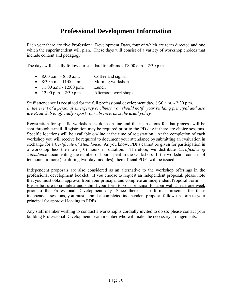### **Professional Development Information**

Each year there are five Professional Development Days, four of which are team directed and one which the superintendent will plan. These days will consist of a variety of workshop choices that include content and pedagogy.

The days will usually follow our standard timeframe of 8:00 a.m. - 2:30 p.m.

- $8:00$  a.m.  $-8:30$  a.m. Coffee and sign-in
- $8:30$  a.m.  $-11:00$  a.m. Morning workshops
- 11:00 a.m. 12:00 p.m. Lunch
- $12:00 \text{ p.m.} 2:30 \text{ p.m.}$  Afternoon workshops

Staff attendance is **required** for the full professional development day, 8:30 a.m. - 2:30 p.m. *In the event of a personal emergency or illness, you should notify your building principal and also use ReadySub to officially report your absence, as is the usual policy.*

Registration for specific workshops is done on-line and the instructions for that process will be sent through e-mail. Registration may be required prior to the PD day if there are choice sessions. Specific locations will be available on-line at the time of registration. At the completion of each workshop you will receive be required to document your attendance by submitting an evaluation in exchange for a *Certificate of Attendance*. As you know, PDPs cannot be given for participation in a workshop less then ten (10) hours in duration. Therefore, we distribute *Certificates of Attendance* documenting the number of hours spent in the workshop. If the workshop consists of ten hours or more (i.e. during two-day modules), then official PDPs will be issued.

Independent proposals are also considered as an alternative to the workshop offerings in the professional development booklet. If you choose to request an independent proposal, please note that you must obtain approval from your principal and complete an Independent Proposal Form. Please be sure to complete and submit your form to your principal for approval at least one week prior to the Professional Development day. Since there is no formal presenter for these independent sessions, you must submit a completed independent proposal follow-up form to your principal for approval leading to PDPs.

Any staff member wishing to conduct a workshop is cordially invited to do so; please contact your building Professional Development Team member who will make the necessary arrangements.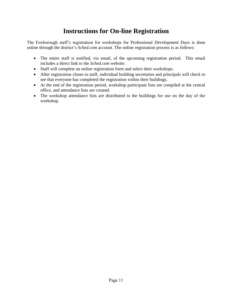### **Instructions for On-line Registration**

The Foxborough staff's registration for workshops for Professional Development Days is done online through the district's *Sched.com* account. The online registration process is as follows:

- The entire staff is notified, via email, of the upcoming registration period. This email includes a direct link to the *Sched.com* website.
- Staff will complete an online registration form and select their workshops.
- After registration closes to staff, individual building secretaries and principals will check to see that everyone has completed the registration within their buildings.
- At the end of the registration period, workshop participant lists are compiled at the central office, and attendance lists are created.
- The workshop attendance lists are distributed to the buildings for use on the day of the workshop.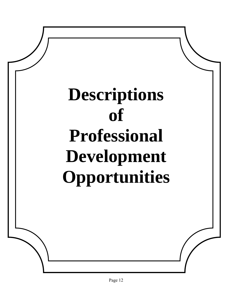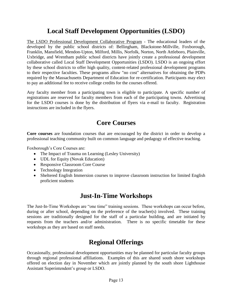### **Local Staff Development Opportunities (LSDO)**

The LSDO Professional Development Collaborative Program - The educational leaders of the developed by the public school districts of: Bellingham, Blackstone-Millville, Foxborough, Franklin, Mansfield, Mendon-Upton, Milford, Millis, Norfolk, Norton, North Attleboro, Plainville, Uxbridge, and Wrentham public school districts have jointly create a professional development collaborative called Local Staff Development Opportunities (LSDO). LSDO is an ongoing effort by these school districts to offer high quality, content-related professional development programs to their respective faculties. These programs allow "no cost" alternatives for obtaining the PDPs required by the Massachusetts Department of Education for re-certification. Participants may elect to pay an additional fee to receive college credits for the courses offered.

Any faculty member from a participating town is eligible to participate. A specific number of registrations are reserved for faculty members from each of the participating towns. Advertising for the LSDO courses is done by the distribution of flyers via e-mail to faculty. Registration instructions are included in the flyers.

### **Core Courses**

**Core courses** are foundation courses that are encouraged by the district in order to develop a professional teaching community built on common language and pedagogy of effective teaching.

Foxborough's Core Courses are:

- The Impact of Trauma on Learning (Lesley University)
- UDL for Equity (Novak Education)
- Responsive Classroom Core Course
- Technology Integration
- Sheltered English Immersion courses to improve classroom instruction for limited English proficient students

### **Just-In-Time Workshops**

The Just-In-Time Workshops are "one time" training sessions. These workshops can occur before, during or after school, depending on the preference of the teacher(s) involved. These training sessions are traditionally designed for the staff of a particular building, and are initiated by requests from the teachers and/or administration. There is no specific timetable for these workshops as they are based on staff needs.

### **Regional Offerings**

Occasionally, professional development opportunities may be planned for particular faculty groups through regional professional affiliations. Examples of this are shared south shore workshops offered on election day in November which are jointly planned by the south shore Lighthouse Assistant Superintendent's group or LSDO.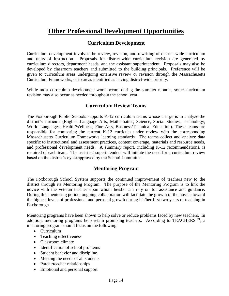### **Other Professional Development Opportunities**

### **Curriculum Development**

Curriculum development involves the review, revision, and rewriting of district-wide curriculum and units of instruction. Proposals for district-wide curriculum revision are generated by curriculum directors, department heads, and the assistant superintendent. Proposals may also be developed by classroom teachers and submitted to the building principals. Preference will be given to curriculum areas undergoing extensive review or revision through the Massachusetts Curriculum Frameworks, or to areas identified as having district-wide priority.

While most curriculum development work occurs during the summer months, some curriculum revision may also occur as needed throughout the school year.

### **Curriculum Review Teams**

The Foxborough Public Schools supports K-12 curriculum teams whose charge is to analyze the district's curricula (English Language Arts, Mathematics, Science, Social Studies, Technology, World Languages, Health/Wellness, Fine Arts, Business/Technical Education). These teams are responsible for comparing the current K-12 curricula under review with the corresponding Massachusetts Curriculum Frameworks learning standards. The teams collect and analyze data specific to instructional and assessment practices, content coverage, materials and resource needs, and professional development needs. A summary report, including K-12 recommendations, is required of each team. The assistant superintendent will initiate the need for a curriculum review based on the district's cycle approved by the School Committee.

### **Mentoring Program**

The Foxborough School System supports the continued improvement of teachers new to the district through its Mentoring Program. The purpose of the Mentoring Program is to link the novice with the veteran teacher upon whom he/she can rely on for assistance and guidance. During this mentoring period, ongoing collaboration will facilitate the growth of the novice toward the highest levels of professional and personal growth during his/her first two years of teaching in Foxborough.

Mentoring programs have been shown to help solve or reduce problems faced by new teachers. In addition, mentoring programs help retain promising teachers. According to TEACHERS  $21$ , a mentoring program should focus on the following:

- Curriculum
- Teaching effectiveness
- Classroom climate
- Identification of school problems
- Student behavior and discipline
- Meeting the needs of all students
- Parent/teacher relationships
- Emotional and personal support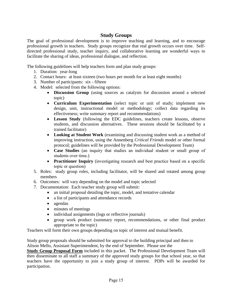### **Study Groups**

The goal of professional development is to improve teaching and learning, and to encourage professional growth in teachers. Study groups recognize that real growth occurs over time. Selfdirected professional study, teacher inquiry, and collaborative learning are wonderful ways to facilitate the sharing of ideas, professional dialogue, and reflection.

The following guidelines will help teachers form and plan study groups:

- 1. Duration: year-long
- 2. Contact hours: at least sixteen (two hours per month for at least eight months)
- 3. Number of participants: six fifteen
- 4. Model: selected from the following options:
	- **Discussion Group** (using sources as catalysts for discussion around a selected topic)
	- **Curriculum Experimentation** (select topic or unit of study; implement new design, unit, instructional model or methodology; collect data regarding its effectiveness; write summary report and recommendations)
	- **Lesson Study** (following the EDC guidelines, teachers create lessons, observe students, and discussion alternatives. These sessions should be facilitated by a trained facilitator)
	- **Looking at Student Work** (examining and discussing student work as a method of improving instruction, using the Annenberg *Critical Friends* model or other formal protocol; guidelines will be provided by the Professional Development Team)
	- **Case Studies** (an inquiry that studies an individual student or small group of students over time.)
	- **Practitioner Inquiry** (investigating research and best practice based on a specific topic or question)
- 5. Roles: study group roles, including facilitator, will be shared and rotated among group members
- 6. Outcomes: will vary depending on the model and topic selected
- 7. Documentation: Each teacher study group will submit:
	- an initial proposal detailing the topic, model, and tentative calendar
	- a list of participants and attendance records
	- agendas
	- minutes of meetings
	- individual assignments (logs or reflective journals)
	- group work product (summary report, recommendations, or other final product appropriate to the topic)

Teachers will form their own groups depending on topic of interest and mutual benefit.

Study group proposals should be submitted for approval to the building principal and then to Alison Mello, Assistant Superintendent, by the end of September. Please use the

**Study Group Proposal Form** included in this packet. The Professional Development Team will then disseminate to all staff a summary of the approved study groups for that school year, so that teachers have the opportunity to join a study group of interest. PDPs will be awarded for participation.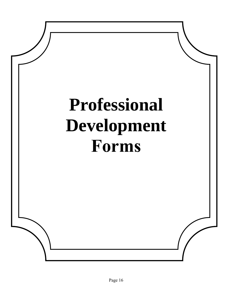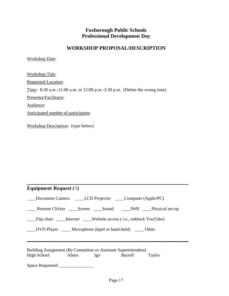### **Foxborough Public Schools Professional Development Day**

### **WORKSHOP PROPOSAL/DESCRIPTION**

Workshop Date:

Workshop Title: Requested Location: Time: 8:30 a.m.-11:00 a.m. or 12:00 p.m.-2:30 p.m. (Delete the wrong time) Presenter/Facilitator: Audience: Anticipated number of participants:

Workshop Description: (type below)

| Equipment Request $(\sqrt{})$                                                                          |  |  |  |  |  |
|--------------------------------------------------------------------------------------------------------|--|--|--|--|--|
| ____Document Camera ______LCD Projector _____Computer (Apple/PC)                                       |  |  |  |  |  |
| ______ Remote Clicker _______ Screen _______ Sound _________ IWB ______Physical set-up                 |  |  |  |  |  |
| ____Flip chart _____Internet ____Website access (i.e., unblock YouTube)                                |  |  |  |  |  |
| _____DVD Player _______ Microphone (lapel or hand-held) _______ Other                                  |  |  |  |  |  |
| Building Assignment (By Committee or Assistant Superintendent)<br>High School Ahern Igo Burrell Taylor |  |  |  |  |  |
| Space Requested:                                                                                       |  |  |  |  |  |

 $\mathcal{L}_\text{max} = \mathcal{L}_\text{max} = \mathcal{L}_\text{max} = \mathcal{L}_\text{max} = \mathcal{L}_\text{max} = \mathcal{L}_\text{max} = \mathcal{L}_\text{max} = \mathcal{L}_\text{max} = \mathcal{L}_\text{max} = \mathcal{L}_\text{max} = \mathcal{L}_\text{max} = \mathcal{L}_\text{max} = \mathcal{L}_\text{max} = \mathcal{L}_\text{max} = \mathcal{L}_\text{max} = \mathcal{L}_\text{max} = \mathcal{L}_\text{max} = \mathcal{L}_\text{max} = \mathcal{$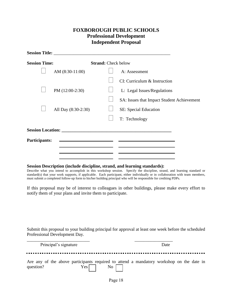### **FOXBOROUGH PUBLIC SCHOOLS Professional Development Independent Proposal**

|                      | Session Title: <u>New York: New York: New York: New York: New York: New York: New York: New York: New York: New York: New York: New York: New York: New York: New York: New York: New York: New York: New York: New York: New Yo</u> |                            |                                            |  |  |
|----------------------|--------------------------------------------------------------------------------------------------------------------------------------------------------------------------------------------------------------------------------------|----------------------------|--------------------------------------------|--|--|
| <b>Session Time:</b> |                                                                                                                                                                                                                                      | <b>Strand:</b> Check below |                                            |  |  |
|                      | AM $(8:30-11:00)$                                                                                                                                                                                                                    |                            | A: Assessment                              |  |  |
|                      |                                                                                                                                                                                                                                      |                            | CI: Curriculum & Instruction               |  |  |
|                      | PM (12:00-2:30)                                                                                                                                                                                                                      |                            | L: Legal Issues/Regulations                |  |  |
|                      |                                                                                                                                                                                                                                      |                            | SA: Issues that Impact Student Achievement |  |  |
|                      | All Day (8:30-2:30)                                                                                                                                                                                                                  |                            | SE: Special Education                      |  |  |
|                      |                                                                                                                                                                                                                                      |                            | T: Technology                              |  |  |
|                      | Session Location: New York 1988                                                                                                                                                                                                      |                            |                                            |  |  |
| Participants:        |                                                                                                                                                                                                                                      |                            |                                            |  |  |
|                      |                                                                                                                                                                                                                                      |                            |                                            |  |  |
|                      |                                                                                                                                                                                                                                      |                            |                                            |  |  |

#### **Session Description (include discipline, strand, and learning standards):**

Describe what you intend to accomplish in this workshop session. Specify the discipline, strand, and learning standard or standard(s) that your work supports, if applicable. Each participant, either individually or in collaboration with team members, must submit a completed follow-up form to his/her building principal who will be responsible for crediting PDPs.

If this proposal may be of interest to colleagues in other buildings, please make every effort to notify them of your plans and invite them to participate.

Submit this proposal to your building principal for approval at least one week before the scheduled Professional Development Day.

| Principal's signature | Date                                                                                     |
|-----------------------|------------------------------------------------------------------------------------------|
| .                     |                                                                                          |
| question?             | Are any of the above participants required to attend a mandatory workshop on the date in |
| $Yes$                 | $\rm{No}$                                                                                |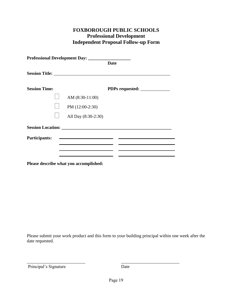### **FOXBOROUGH PUBLIC SCHOOLS Professional Development Independent Proposal Follow-up Form**

|                      | Professional Development Day: __________                    |             |
|----------------------|-------------------------------------------------------------|-------------|
|                      |                                                             | <b>Date</b> |
|                      |                                                             |             |
| <b>Session Time:</b> |                                                             |             |
|                      | AM (8:30-11:00)                                             |             |
|                      | PM (12:00-2:30)                                             |             |
|                      | All Day (8:30-2:30)                                         |             |
|                      | <b>Session Location:</b> Session 2014                       |             |
| <b>Participants:</b> | <u> 1989 - Johann Barbara, martxa al III-lea (h. 1989).</u> |             |
|                      |                                                             |             |
|                      |                                                             |             |
|                      |                                                             |             |

**Please describe what you accomplished:**

Please submit your work product and this form to your building principal within one week after the date requested.

Principal's Signature Date

\_\_\_\_\_\_\_\_\_\_\_\_\_\_\_\_\_\_\_\_\_\_\_\_\_\_ \_\_\_\_\_\_\_\_\_\_\_\_\_\_\_\_\_\_\_\_\_\_\_\_\_\_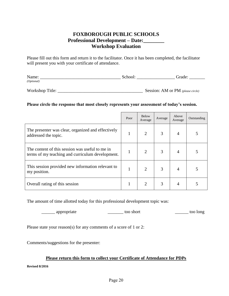### **FOXBOROUGH PUBLIC SCHOOLS Professional Development – Date:\_\_\_\_\_\_\_\_ Workshop Evaluation**

Please fill out this form and return it to the facilitator. Once it has been completed, the facilitator will present you with your certificate of attendance.

| Name:         |  |
|---------------|--|
| $'$ Optionai, |  |

| Workshop Title: | <b>Session:</b> AM or PM (please circle) |
|-----------------|------------------------------------------|
|-----------------|------------------------------------------|

#### **Please circle the response that most closely represents your assessment of today's session.**

|                                                                                                     | Poor | <b>Below</b><br>Average | Average | Above<br>Average | Outstanding |
|-----------------------------------------------------------------------------------------------------|------|-------------------------|---------|------------------|-------------|
| The presenter was clear, organized and effectively<br>addressed the topic.                          | 1    | $\overline{2}$          | 3       | 4                |             |
| The content of this session was useful to me in<br>terms of my teaching and curriculum development. |      | $\overline{2}$          | 3       | 4                |             |
| This session provided new information relevant to<br>my position.                                   |      | $\overline{2}$          | 3       | 4                |             |
| Overall rating of this session                                                                      |      | 2                       | 3       | 4                |             |

The amount of time allotted today for this professional development topic was:

\_\_\_\_\_\_ appropriate \_\_\_\_\_\_\_ too short \_\_\_\_\_\_ too long

Please state your reason(s) for any comments of a score of 1 or 2:

Comments/suggestions for the presenter:

#### **Please return this form to collect your Certificate of Attendance for PDPs**

**Revised 8/2016**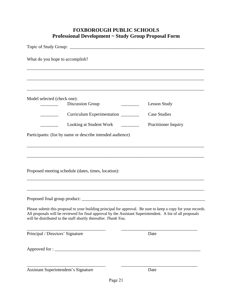### **FOXBOROUGH PUBLIC SCHOOLS Professional Development ~ Study Group Proposal Form**

| What do you hope to accomplish?                                                                                                                                                                                                                                                                |                                                                                   |  |  |  |  |
|------------------------------------------------------------------------------------------------------------------------------------------------------------------------------------------------------------------------------------------------------------------------------------------------|-----------------------------------------------------------------------------------|--|--|--|--|
|                                                                                                                                                                                                                                                                                                |                                                                                   |  |  |  |  |
| Model selected (check one):                                                                                                                                                                                                                                                                    |                                                                                   |  |  |  |  |
| <b>Discussion Group</b>                                                                                                                                                                                                                                                                        | <b>Lesson Study</b><br>$\frac{1}{2}$                                              |  |  |  |  |
| Curriculum Experimentation                                                                                                                                                                                                                                                                     | <b>Case Studies</b>                                                               |  |  |  |  |
| Looking at Student Work _________                                                                                                                                                                                                                                                              | Practitioner Inquiry                                                              |  |  |  |  |
| Participants: (list by name or describe intended audience)                                                                                                                                                                                                                                     |                                                                                   |  |  |  |  |
|                                                                                                                                                                                                                                                                                                | ,我们也不能在这里的时候,我们也不能在这里的时候,我们也不能会在这里的时候,我们也不能会在这里的时候,我们也不能会在这里的时候,我们也不能会在这里的时候,我们也不 |  |  |  |  |
|                                                                                                                                                                                                                                                                                                |                                                                                   |  |  |  |  |
|                                                                                                                                                                                                                                                                                                |                                                                                   |  |  |  |  |
| Proposed meeting schedule (dates, times, location):                                                                                                                                                                                                                                            |                                                                                   |  |  |  |  |
|                                                                                                                                                                                                                                                                                                |                                                                                   |  |  |  |  |
|                                                                                                                                                                                                                                                                                                |                                                                                   |  |  |  |  |
|                                                                                                                                                                                                                                                                                                |                                                                                   |  |  |  |  |
| Please submit this proposal to your building principal for approval. Be sure to keep a copy for your records.<br>All proposals will be reviewed for final approval by the Assistant Superintendent. A list of all proposals<br>will be distributed to the staff shortly thereafter. Thank You. |                                                                                   |  |  |  |  |
| Principal / Directors' Signature                                                                                                                                                                                                                                                               | Date                                                                              |  |  |  |  |
|                                                                                                                                                                                                                                                                                                |                                                                                   |  |  |  |  |
|                                                                                                                                                                                                                                                                                                |                                                                                   |  |  |  |  |
| <b>Assistant Superintendent's Signature</b>                                                                                                                                                                                                                                                    | Date                                                                              |  |  |  |  |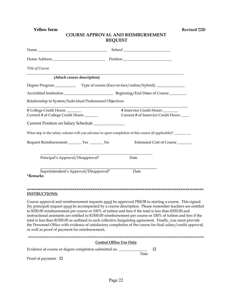**Yellow form Revised 7/20**

#### **COURSE APPROVAL AND REIMBURSEMENT REQUEST**

| Title of Course                                                                                                                                           |                                                                                                                                                                                                                                                                                                                                                                                                                                                                                                                                                                    |
|-----------------------------------------------------------------------------------------------------------------------------------------------------------|--------------------------------------------------------------------------------------------------------------------------------------------------------------------------------------------------------------------------------------------------------------------------------------------------------------------------------------------------------------------------------------------------------------------------------------------------------------------------------------------------------------------------------------------------------------------|
| (Attach course description)                                                                                                                               |                                                                                                                                                                                                                                                                                                                                                                                                                                                                                                                                                                    |
| Degree Program __________________Type of course (Face-to-face/online/hybrid): ________________                                                            |                                                                                                                                                                                                                                                                                                                                                                                                                                                                                                                                                                    |
|                                                                                                                                                           |                                                                                                                                                                                                                                                                                                                                                                                                                                                                                                                                                                    |
| Relationship to System/Individual Professional Objectives                                                                                                 |                                                                                                                                                                                                                                                                                                                                                                                                                                                                                                                                                                    |
| # College Credit Hours _______<br>Current # of College Credit Hours                                                                                       | # Inservice Credit Hours _______<br>Current # of Inservice Credit Hours                                                                                                                                                                                                                                                                                                                                                                                                                                                                                            |
| Current Position on Salary Schedule ________________                                                                                                      |                                                                                                                                                                                                                                                                                                                                                                                                                                                                                                                                                                    |
| What step in the salary column will you advance to upon completion of this course (if applicable)? ________                                               |                                                                                                                                                                                                                                                                                                                                                                                                                                                                                                                                                                    |
| Request Reimbursement ________ Yes _______ No                                                                                                             | Estimated Cost of Course                                                                                                                                                                                                                                                                                                                                                                                                                                                                                                                                           |
| Principal's Approval/Disapproval*                                                                                                                         | Date                                                                                                                                                                                                                                                                                                                                                                                                                                                                                                                                                               |
| Superintendent's Approval/Disapproval*<br><i><b>*Remarks</b></i>                                                                                          | Date                                                                                                                                                                                                                                                                                                                                                                                                                                                                                                                                                               |
| <b>INSTRUCTIONS:</b>                                                                                                                                      |                                                                                                                                                                                                                                                                                                                                                                                                                                                                                                                                                                    |
| to \$350.00 reimbursement per course or 100% of tuition and fees if the total is less than \$350.00 and<br>as well as proof of payment for reimbursement. | Course approval and reimbursement requests must be approved PRIOR to starting a course. This signed<br>(by principal) request must be accompanied by a course description. Please remember teachers are entitled<br>instructional assistants are entitled to \$1500.00 reimbursement per course or 100% of tuition and fees if the<br>total is less than \$1500.00 as outlined in each collective bargaining agreement. Finally, you must provide<br>the Personnel Office with evidence of satisfactory completion of the course for final salary/credit approval, |
|                                                                                                                                                           |                                                                                                                                                                                                                                                                                                                                                                                                                                                                                                                                                                    |
|                                                                                                                                                           | <b>Central Office Use Only</b>                                                                                                                                                                                                                                                                                                                                                                                                                                                                                                                                     |
| Evidence of course or degree completion submitted on _________                                                                                            | □<br>Date                                                                                                                                                                                                                                                                                                                                                                                                                                                                                                                                                          |
| Proof of payment $\Box$                                                                                                                                   |                                                                                                                                                                                                                                                                                                                                                                                                                                                                                                                                                                    |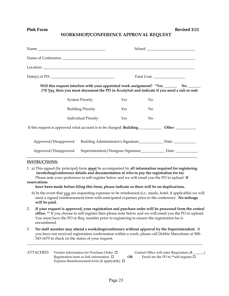#### **WORKSHOP/CONFERENCE APPROVAL REQUEST**

|                      |                      |                                                                                                                                                                                                                                                                                      |            |    | Will this request interfere with your appointed work assignment? *Yes __________ No ________<br>(*If Yes, then you must document the PD in ReadySub and indicate if you need a sub or not)                       |
|----------------------|----------------------|--------------------------------------------------------------------------------------------------------------------------------------------------------------------------------------------------------------------------------------------------------------------------------------|------------|----|------------------------------------------------------------------------------------------------------------------------------------------------------------------------------------------------------------------|
|                      |                      | <b>System Priority</b>                                                                                                                                                                                                                                                               | Yes        | No |                                                                                                                                                                                                                  |
|                      |                      | <b>Building Priority</b>                                                                                                                                                                                                                                                             | <b>Yes</b> | No |                                                                                                                                                                                                                  |
|                      |                      | Individual Priority                                                                                                                                                                                                                                                                  | Yes        | No |                                                                                                                                                                                                                  |
|                      |                      |                                                                                                                                                                                                                                                                                      |            |    |                                                                                                                                                                                                                  |
|                      | Approved/Disapproved |                                                                                                                                                                                                                                                                                      |            |    | Building Administrator's Signature____________________ Date: ___________________                                                                                                                                 |
|                      | Approved/Disapproved |                                                                                                                                                                                                                                                                                      |            |    | Superintendent/Designee Signature________________ Date: _____________                                                                                                                                            |
| <b>INSTRUCTIONS:</b> |                      |                                                                                                                                                                                                                                                                                      |            |    |                                                                                                                                                                                                                  |
| reservations         |                      | (workshop/conference details and documentation of who to pay the registration fee to).<br>Please note your preference to self-register below and we will email you the PO to upload. If<br>have been made before filing this form, please indicate so there will be no duplications. |            |    | 1. a) This signed (by principal) form <b>must</b> be accompanied by all information required for registering                                                                                                     |
| will be paid.        |                      |                                                                                                                                                                                                                                                                                      |            |    | b) In the event that you are requesting expenses to be reimbursed (i.e., meals, hotel, if applicable) we will<br>need a signed reimbursement form with anticipated expenses prior to the conference. No mileage  |
| 2.<br>encumbered.    |                      | You must have the PO or Req. number prior to registering to ensure the registration fee is                                                                                                                                                                                           |            |    | If your request is approved, your registration and purchase order will be processed from the central<br>office. ** If you choose to self-register then please note below and we will email you the PO to upload. |
| 3.                   |                      | 543-1675 to check on the status of your request.                                                                                                                                                                                                                                     |            |    | No staff member may attend a workshop/conference without approval by the Superintendent. If<br>you have not received registration confirmation within a week, please call Debbie Marcelonis at 508-              |
| <b>ATTACHED:</b>     |                      | Vendor information for Purchase Order □<br>Registration form or link information $\Box$<br>Expense Reimbursement form (if applicable) $\Box$                                                                                                                                         | <b>OR</b>  |    | Central Office will enter Requisition (#<br>Email me the PO to ** self-register $\Box$                                                                                                                           |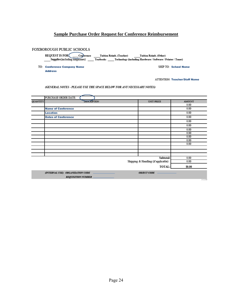#### **Sample Purchase Order Request for Conference Reimbursement**

#### FOXBOROUGH PUBLIC SCHOOLS

TO: Conference Company Name **Address** 

**SHIP TO: School Name** 

**ATTENTION: Teacher/Staff Name** 

#### (GENERAL NOTES - PLEASE USE THE SPACE BELOW FOR ANY NECESSARY NOTES)

|          | PURCHASE ORDER DATE:                                                                     |                                     |               |
|----------|------------------------------------------------------------------------------------------|-------------------------------------|---------------|
| QUANTITY | DESCRIPTION                                                                              | UNIT PRICE                          | <b>AMOUNT</b> |
|          |                                                                                          |                                     | 0.00          |
|          | <b>Name of Conference</b>                                                                |                                     | 0.00          |
|          | Location                                                                                 |                                     | 0.00          |
|          | <b>Dates of Conference</b>                                                               |                                     | 0.00          |
|          |                                                                                          |                                     | 0.00          |
|          |                                                                                          |                                     | 0.00          |
|          |                                                                                          |                                     | 0.00          |
|          |                                                                                          |                                     | 0.00          |
|          |                                                                                          |                                     | 0.00          |
|          |                                                                                          |                                     | 0.00          |
|          |                                                                                          |                                     | 0.00          |
|          |                                                                                          |                                     |               |
|          |                                                                                          |                                     |               |
|          |                                                                                          | Subtotal:                           | 0.00          |
|          |                                                                                          | Shipping & Handling (if applicable) | 0.00          |
|          |                                                                                          | TOTAL:                              | \$0.00        |
|          | (INTERNAL USE): ORGANIZATION CODE <b>CONVERGED ASSESSED</b><br><b>REQUISITION NUMBER</b> | <b>OBJECT CODE</b>                  |               |
|          |                                                                                          |                                     | 3/12/09       |